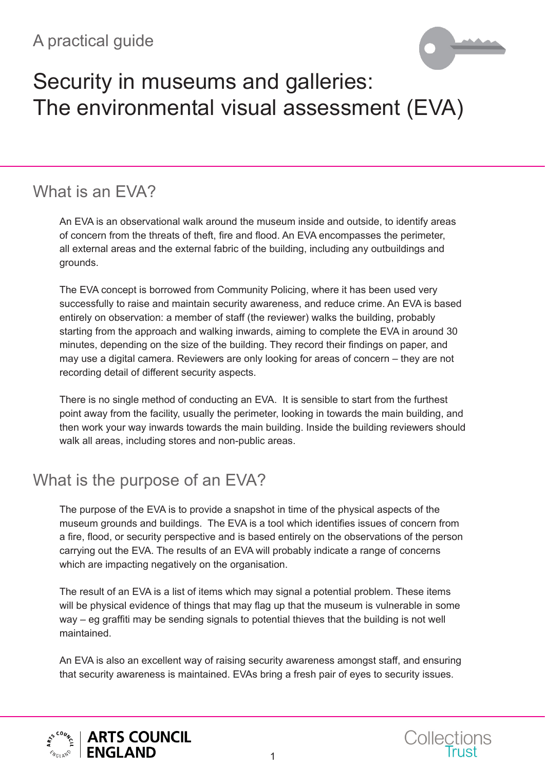# A practical guide



# Security in museums and galleries: The environmental visual assessment (EVA)

# What is an FVA?

An EVA is an observational walk around the museum inside and outside, to identify areas of concern from the threats of theft, fire and flood. An EVA encompasses the perimeter, all external areas and the external fabric of the building, including any outbuildings and grounds.

The EVA concept is borrowed from Community Policing, where it has been used very successfully to raise and maintain security awareness, and reduce crime. An EVA is based entirely on observation: a member of staff (the reviewer) walks the building, probably starting from the approach and walking inwards, aiming to complete the EVA in around 30 minutes, depending on the size of the building. They record their findings on paper, and may use a digital camera. Reviewers are only looking for areas of concern – they are not recording detail of different security aspects.

There is no single method of conducting an EVA. It is sensible to start from the furthest point away from the facility, usually the perimeter, looking in towards the main building, and then work your way inwards towards the main building. Inside the building reviewers should walk all areas, including stores and non-public areas.

### What is the purpose of an EVA?

The purpose of the EVA is to provide a snapshot in time of the physical aspects of the museum grounds and buildings. The EVA is a tool which identifies issues of concern from a fire, flood, or security perspective and is based entirely on the observations of the person carrying out the EVA. The results of an EVA will probably indicate a range of concerns which are impacting negatively on the organisation.

The result of an EVA is a list of items which may signal a potential problem. These items will be physical evidence of things that may flag up that the museum is vulnerable in some way – eg graffiti may be sending signals to potential thieves that the building is not well maintained.

An EVA is also an excellent way of raising security awareness amongst staff, and ensuring that security awareness is maintained. EVAs bring a fresh pair of eyes to security issues.



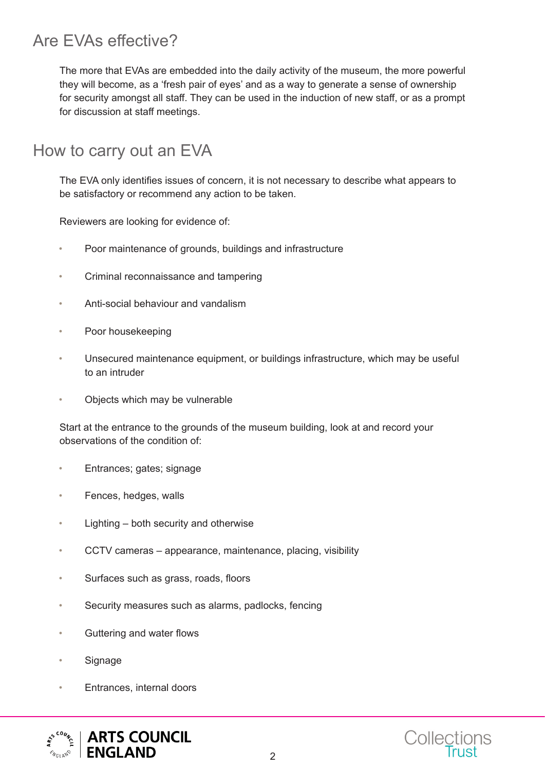# Are EVAs effective?

The more that EVAs are embedded into the daily activity of the museum, the more powerful they will become, as a 'fresh pair of eyes' and as a way to generate a sense of ownership for security amongst all staff. They can be used in the induction of new staff, or as a prompt for discussion at staff meetings.

#### How to carry out an EVA

The EVA only identifies issues of concern, it is not necessary to describe what appears to be satisfactory or recommend any action to be taken.

Reviewers are looking for evidence of:

- Poor maintenance of grounds, buildings and infrastructure
- Criminal reconnaissance and tampering
- Anti-social behaviour and vandalism
- Poor housekeeping
- Unsecured maintenance equipment, or buildings infrastructure, which may be useful to an intruder
- Objects which may be vulnerable

Start at the entrance to the grounds of the museum building, look at and record your observations of the condition of:

- Entrances; gates; signage
- Fences, hedges, walls
- Lighting both security and otherwise
- CCTV cameras appearance, maintenance, placing, visibility
- Surfaces such as grass, roads, floors
- Security measures such as alarms, padlocks, fencing
- Guttering and water flows
- **Signage**
- Entrances, internal doors



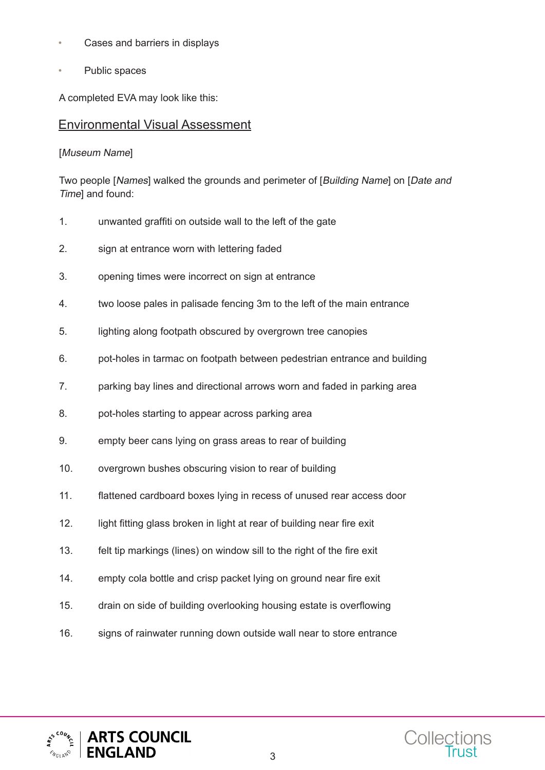- Cases and barriers in displays
- Public spaces

A completed EVA may look like this:

#### Environmental Visual Assessment

[Museum Name]

Two people [Names] walked the grounds and perimeter of [Building Name] on [Date and Time] and found:

- 1. unwanted graffiti on outside wall to the left of the gate
- 2. sign at entrance worn with lettering faded
- 3. opening times were incorrect on sign at entrance
- 4. two loose pales in palisade fencing 3m to the left of the main entrance
- 5. lighting along footpath obscured by overgrown tree canopies
- 6. pot-holes in tarmac on footpath between pedestrian entrance and building
- 7. parking bay lines and directional arrows worn and faded in parking area
- 8. pot-holes starting to appear across parking area
- 9. empty beer cans lying on grass areas to rear of building
- 10. overgrown bushes obscuring vision to rear of building
- 11. flattened cardboard boxes lying in recess of unused rear access door
- 12. light fitting glass broken in light at rear of building near fire exit
- 13. felt tip markings (lines) on window sill to the right of the fire exit
- 14. empty cola bottle and crisp packet lying on ground near fire exit
- 15. drain on side of building overlooking housing estate is overflowing
- 16. signs of rainwater running down outside wall near to store entrance